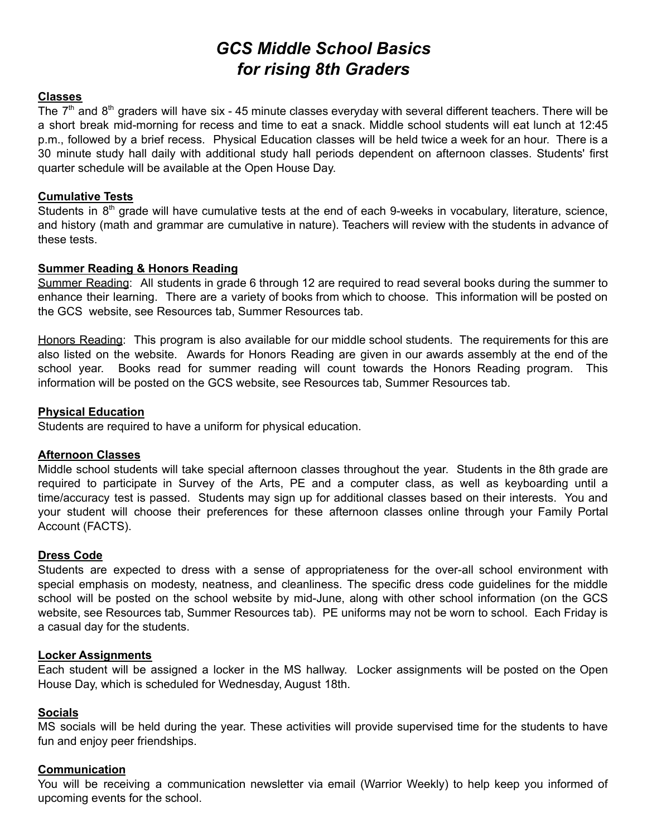# *GCS Middle School Basics for rising 8th Graders*

#### **Classes**

The  $7<sup>th</sup>$  and  $8<sup>th</sup>$  graders will have six - 45 minute classes everyday with several different teachers. There will be a short break mid-morning for recess and time to eat a snack. Middle school students will eat lunch at 12:45 p.m., followed by a brief recess. Physical Education classes will be held twice a week for an hour. There is a 30 minute study hall daily with additional study hall periods dependent on afternoon classes. Students' first quarter schedule will be available at the Open House Day.

#### **Cumulative Tests**

Students in 8<sup>th</sup> grade will have cumulative tests at the end of each 9-weeks in vocabulary, literature, science, and history (math and grammar are cumulative in nature). Teachers will review with the students in advance of these tests.

## **Summer Reading & Honors Reading**

Summer Reading: All students in grade 6 through 12 are required to read several books during the summer to enhance their learning. There are a variety of books from which to choose. This information will be posted on the GCS website, see Resources tab, Summer Resources tab.

Honors Reading: This program is also available for our middle school students. The requirements for this are also listed on the website. Awards for Honors Reading are given in our awards assembly at the end of the school year. Books read for summer reading will count towards the Honors Reading program. This information will be posted on the GCS website, see Resources tab, Summer Resources tab.

## **Physical Education**

Students are required to have a uniform for physical education.

#### **Afternoon Classes**

Middle school students will take special afternoon classes throughout the year. Students in the 8th grade are required to participate in Survey of the Arts, PE and a computer class, as well as keyboarding until a time/accuracy test is passed. Students may sign up for additional classes based on their interests. You and your student will choose their preferences for these afternoon classes online through your Family Portal Account (FACTS).

#### **Dress Code**

Students are expected to dress with a sense of appropriateness for the over-all school environment with special emphasis on modesty, neatness, and cleanliness. The specific dress code guidelines for the middle school will be posted on the school website by mid-June, along with other school information (on the GCS website, see Resources tab, Summer Resources tab). PE uniforms may not be worn to school. Each Friday is a casual day for the students.

#### **Locker Assignments**

Each student will be assigned a locker in the MS hallway. Locker assignments will be posted on the Open House Day, which is scheduled for Wednesday, August 18th.

#### **Socials**

MS socials will be held during the year. These activities will provide supervised time for the students to have fun and enjoy peer friendships.

#### **Communication**

You will be receiving a communication newsletter via email (Warrior Weekly) to help keep you informed of upcoming events for the school.